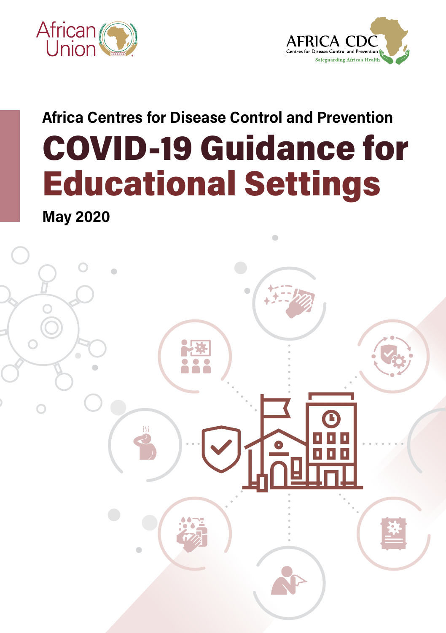



## **Africa Centres for Disease Control and Prevention**

# COVID-19 Guidance for Educational Settings

**May 2020**

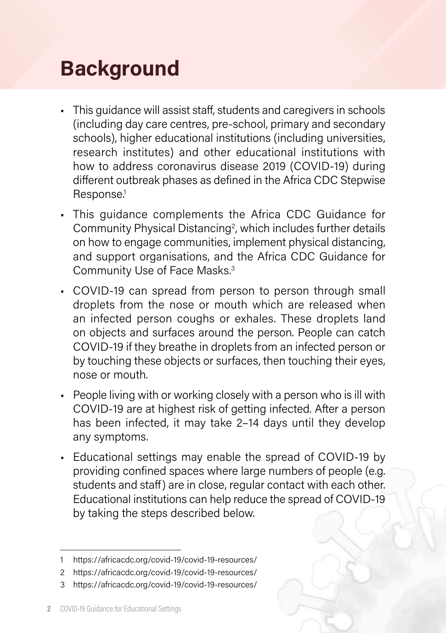## **Background**

- This guidance will assist staff, students and caregivers in schools (including day care centres, pre-school, primary and secondary schools), higher educational institutions (including universities, research institutes) and other educational institutions with how to address coronavirus disease 2019 (COVID-19) during different outbreak phases as defined in the Africa CDC Stepwise Response.<sup>1</sup>
- This guidance complements the Africa CDC Guidance for Community Physical Distancing<sup>2</sup>, which includes further details on how to engage communities, implement physical distancing, and support organisations, and the Africa CDC Guidance for Community Use of Face Masks.3
- COVID-19 can spread from person to person through small droplets from the nose or mouth which are released when an infected person coughs or exhales. These droplets land on objects and surfaces around the person. People can catch COVID-19 if they breathe in droplets from an infected person or by touching these objects or surfaces, then touching their eyes, nose or mouth.
- People living with or working closely with a person who is ill with COVID-19 are at highest risk of getting infected. After a person has been infected, it may take 2-14 days until they develop any symptoms.
- Educational settings may enable the spread of COVID-19 by providing confined spaces where large numbers of people (e.g. students and staff) are in close, regular contact with each other. Educational institutions can help reduce the spread of COVID-19 by taking the steps described below.

<sup>1</sup> https://africacdc.org/covid-19/covid-19-resources/

<sup>2</sup> https://africacdc.org/covid-19/covid-19-resources/

<sup>3</sup> https://africacdc.org/covid-19/covid-19-resources/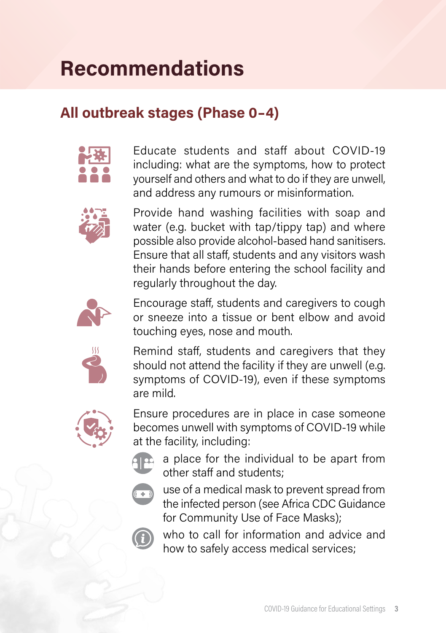## **Recommendations**

#### **All outbreak stages (Phase 0–4)**



Educate students and staff about COVID-19 including: what are the symptoms, how to protect yourself and others and what to do if they are unwell, and address any rumours or misinformation.



Provide hand washing facilities with soap and water (e.g. bucket with tap/tippy tap) and where possible also provide alcohol-based hand sanitisers. Ensure that all staff, students and any visitors wash their hands before entering the school facility and regularly throughout the day.



Encourage staff, students and caregivers to cough or sneeze into a tissue or bent elbow and avoid touching eyes, nose and mouth.



Remind staff, students and caregivers that they should not attend the facility if they are unwell (e.g. symptoms of COVID-19), even if these symptoms are mild.



Ensure procedures are in place in case someone becomes unwell with symptoms of COVID-19 while at the facility, including:



– a place for the individual to be apart from other staff and students;



use of a medical mask to prevent spread from the infected person (see Africa CDC Guidance for Community Use of Face Masks);

who to call for information and advice and how to safely access medical services;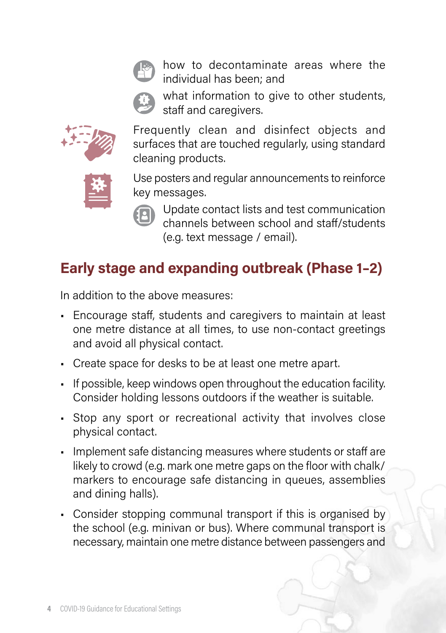

how to decontaminate areas where the individual has been; and



what information to give to other students, staff and caregivers.



Frequently clean and disinfect objects and surfaces that are touched regularly, using standard cleaning products.



Use posters and regular announcements to reinforce key messages.



– Update contact lists and test communication channels between school and staff/students (e.g. text message / email).

### **Early stage and expanding outbreak (Phase 1–2)**

In addition to the above measures:

- Encourage staff, students and caregivers to maintain at least one metre distance at all times, to use non-contact greetings and avoid all physical contact.
- Create space for desks to be at least one metre apart.
- If possible, keep windows open throughout the education facility. Consider holding lessons outdoors if the weather is suitable.
- Stop any sport or recreational activity that involves close physical contact.
- Implement safe distancing measures where students or staff are likely to crowd (e.g. mark one metre gaps on the floor with chalk/ markers to encourage safe distancing in queues, assemblies and dining halls).
- Consider stopping communal transport if this is organised by the school (e.g. minivan or bus). Where communal transport is necessary, maintain one metre distance between passengers and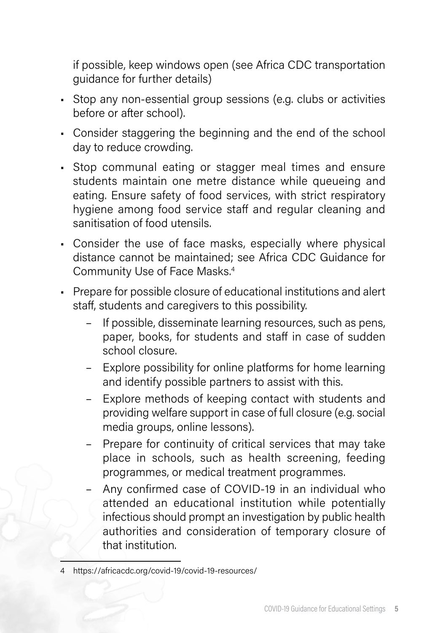if possible, keep windows open (see Africa CDC transportation guidance for further details)

- Stop any non-essential group sessions (e.g. clubs or activities before or after school).
- Consider staggering the beginning and the end of the school day to reduce crowding.
- Stop communal eating or stagger meal times and ensure students maintain one metre distance while queueing and eating. Ensure safety of food services, with strict respiratory hygiene among food service staff and regular cleaning and sanitisation of food utensils.
- Consider the use of face masks, especially where physical distance cannot be maintained; see Africa CDC Guidance for Community Use of Face Masks.4
- Prepare for possible closure of educational institutions and alert staff, students and caregivers to this possibility.
	- If possible, disseminate learning resources, such as pens, paper, books, for students and staff in case of sudden school closure.
	- Explore possibility for online platforms for home learning and identify possible partners to assist with this.
	- Explore methods of keeping contact with students and providing welfare support in case of full closure (e.g. social media groups, online lessons).
	- Prepare for continuity of critical services that may take place in schools, such as health screening, feeding programmes, or medical treatment programmes.
	- Any confirmed case of COVID-19 in an individual who attended an educational institution while potentially infectious should prompt an investigation by public health authorities and consideration of temporary closure of that institution.

<sup>4</sup> https://africacdc.org/covid-19/covid-19-resources/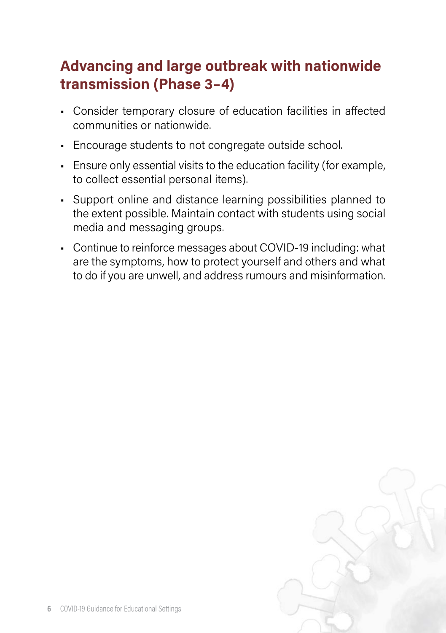#### **Advancing and large outbreak with nationwide transmission (Phase 3–4)**

- Consider temporary closure of education facilities in affected communities or nationwide.
- Encourage students to not congregate outside school.
- Ensure only essential visits to the education facility (for example, to collect essential personal items).
- Support online and distance learning possibilities planned to the extent possible. Maintain contact with students using social media and messaging groups.
- Continue to reinforce messages about COVID-19 including: what are the symptoms, how to protect yourself and others and what to do if you are unwell, and address rumours and misinformation.

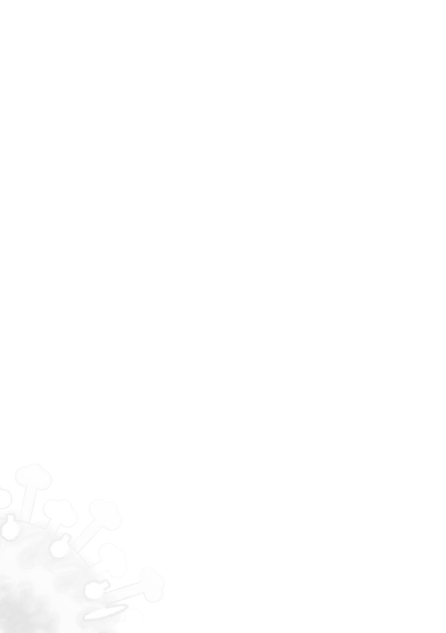